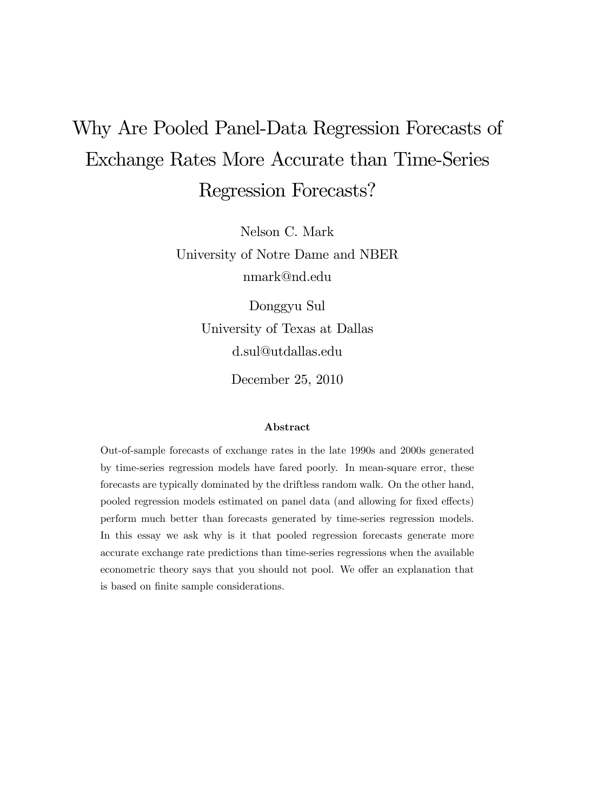# Why Are Pooled Panel-Data Regression Forecasts of Exchange Rates More Accurate than Time-Series Regression Forecasts?

Nelson C. Mark University of Notre Dame and NBER nmark@nd.edu

> Donggyu Sul University of Texas at Dallas d.sul@utdallas.edu

> > December 25, 2010

#### Abstract

Out-of-sample forecasts of exchange rates in the late 1990s and 2000s generated by time-series regression models have fared poorly. In mean-square error, these forecasts are typically dominated by the driftless random walk. On the other hand, pooled regression models estimated on panel data (and allowing for fixed effects) perform much better than forecasts generated by time-series regression models. In this essay we ask why is it that pooled regression forecasts generate more accurate exchange rate predictions than time-series regressions when the available econometric theory says that you should not pool. We offer an explanation that is based on finite sample considerations.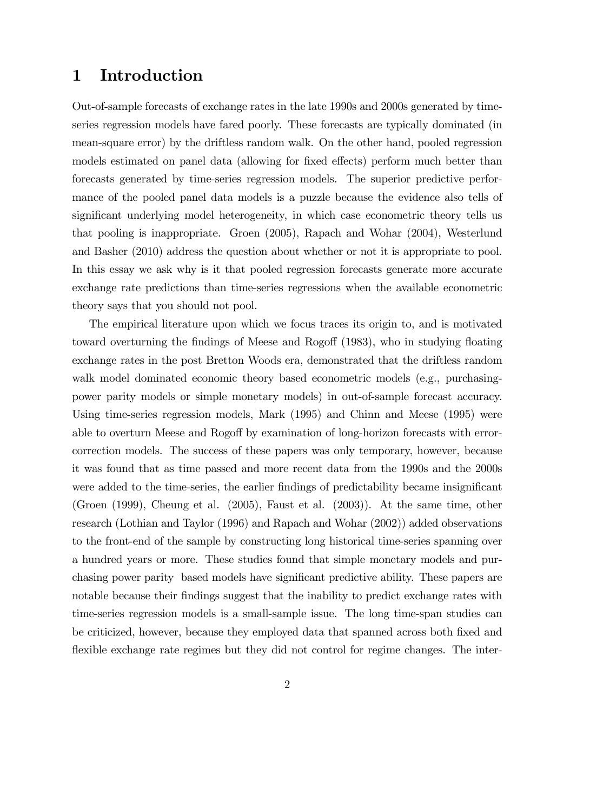## 1 Introduction

Out-of-sample forecasts of exchange rates in the late 1990s and 2000s generated by timeseries regression models have fared poorly. These forecasts are typically dominated (in mean-square error) by the driftless random walk. On the other hand, pooled regression models estimated on panel data (allowing for fixed effects) perform much better than forecasts generated by time-series regression models. The superior predictive performance of the pooled panel data models is a puzzle because the evidence also tells of significant underlying model heterogeneity, in which case econometric theory tells us that pooling is inappropriate. Groen (2005), Rapach and Wohar (2004), Westerlund and Basher (2010) address the question about whether or not it is appropriate to pool. In this essay we ask why is it that pooled regression forecasts generate more accurate exchange rate predictions than time-series regressions when the available econometric theory says that you should not pool.

The empirical literature upon which we focus traces its origin to, and is motivated toward overturning the findings of Meese and Rogoff (1983), who in studying floating exchange rates in the post Bretton Woods era, demonstrated that the driftless random walk model dominated economic theory based econometric models (e.g., purchasingpower parity models or simple monetary models) in out-of-sample forecast accuracy. Using time-series regression models, Mark (1995) and Chinn and Meese (1995) were able to overturn Meese and Rogoff by examination of long-horizon forecasts with errorcorrection models. The success of these papers was only temporary, however, because it was found that as time passed and more recent data from the 1990s and the 2000s were added to the time-series, the earlier findings of predictability became insignificant (Groen (1999), Cheung et al. (2005), Faust et al. (2003)). At the same time, other research (Lothian and Taylor (1996) and Rapach and Wohar (2002)) added observations to the front-end of the sample by constructing long historical time-series spanning over a hundred years or more. These studies found that simple monetary models and purchasing power parity based models have significant predictive ability. These papers are notable because their findings suggest that the inability to predict exchange rates with time-series regression models is a small-sample issue. The long time-span studies can be criticized, however, because they employed data that spanned across both Öxed and flexible exchange rate regimes but they did not control for regime changes. The inter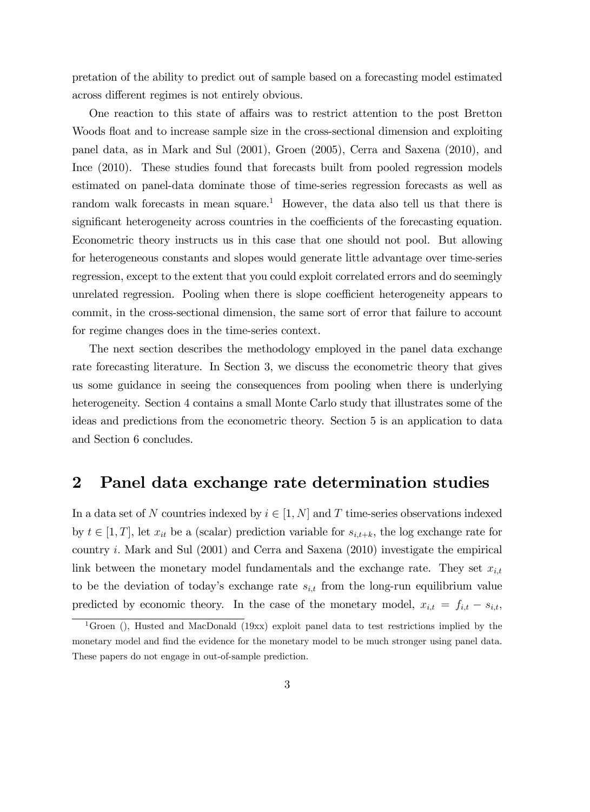pretation of the ability to predict out of sample based on a forecasting model estimated across different regimes is not entirely obvious.

One reaction to this state of affairs was to restrict attention to the post Bretton Woods float and to increase sample size in the cross-sectional dimension and exploiting panel data, as in Mark and Sul (2001), Groen (2005), Cerra and Saxena (2010), and Ince (2010). These studies found that forecasts built from pooled regression models estimated on panel-data dominate those of time-series regression forecasts as well as random walk forecasts in mean square.<sup>1</sup> However, the data also tell us that there is significant heterogeneity across countries in the coefficients of the forecasting equation. Econometric theory instructs us in this case that one should not pool. But allowing for heterogeneous constants and slopes would generate little advantage over time-series regression, except to the extent that you could exploit correlated errors and do seemingly unrelated regression. Pooling when there is slope coefficient heterogeneity appears to commit, in the cross-sectional dimension, the same sort of error that failure to account for regime changes does in the time-series context.

The next section describes the methodology employed in the panel data exchange rate forecasting literature. In Section 3, we discuss the econometric theory that gives us some guidance in seeing the consequences from pooling when there is underlying heterogeneity. Section 4 contains a small Monte Carlo study that illustrates some of the ideas and predictions from the econometric theory. Section 5 is an application to data and Section 6 concludes.

## 2 Panel data exchange rate determination studies

In a data set of N countries indexed by  $i \in [1, N]$  and T time-series observations indexed by  $t \in [1, T]$ , let  $x_{it}$  be a (scalar) prediction variable for  $s_{i,t+k}$ , the log exchange rate for country i: Mark and Sul (2001) and Cerra and Saxena (2010) investigate the empirical link between the monetary model fundamentals and the exchange rate. They set  $x_{i,t}$ to be the deviation of today's exchange rate  $s_{i,t}$  from the long-run equilibrium value predicted by economic theory. In the case of the monetary model,  $x_{i,t} = f_{i,t} - s_{i,t}$ ,

<sup>&</sup>lt;sup>1</sup>Groen (), Husted and MacDonald (19xx) exploit panel data to test restrictions implied by the monetary model and find the evidence for the monetary model to be much stronger using panel data. These papers do not engage in out-of-sample prediction.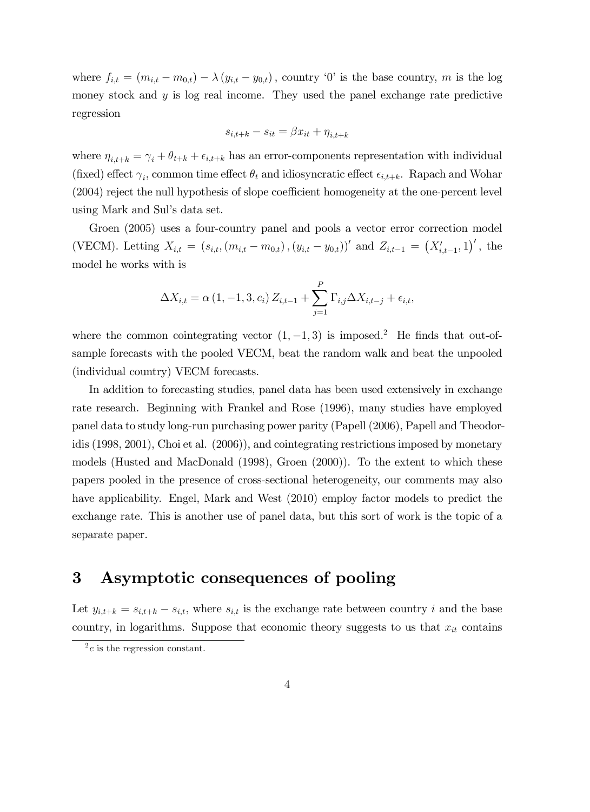where  $f_{i,t} = (m_{i,t} - m_{0,t}) - \lambda (y_{i,t} - y_{0,t})$ , country '0' is the base country, m is the log money stock and  $y$  is log real income. They used the panel exchange rate predictive regression

$$
s_{i,t+k} - s_{it} = \beta x_{it} + \eta_{i,t+k}
$$

where  $\eta_{i,t+k} = \gamma_i + \theta_{t+k} + \epsilon_{i,t+k}$  has an error-components representation with individual (fixed) effect  $\gamma_i$ , common time effect  $\theta_t$  and idiosyncratic effect  $\epsilon_{i,t+k}$ . Rapach and Wohar  $(2004)$  reject the null hypothesis of slope coefficient homogeneity at the one-percent level using Mark and Sul's data set.

Groen (2005) uses a four-country panel and pools a vector error correction model (VECM). Letting  $X_{i,t} = (s_{i,t}, (m_{i,t} - m_{0,t}), (y_{i,t} - y_{0,t}))'$  and  $Z_{i,t-1} = (X'_{i,t-1}, 1)'$ , the model he works with is

$$
\Delta X_{i,t} = \alpha (1, -1, 3, c_i) Z_{i,t-1} + \sum_{j=1}^{P} \Gamma_{i,j} \Delta X_{i,t-j} + \epsilon_{i,t},
$$

where the common cointegrating vector  $(1, -1, 3)$  is imposed.<sup>2</sup> He finds that out-ofsample forecasts with the pooled VECM, beat the random walk and beat the unpooled (individual country) VECM forecasts.

In addition to forecasting studies, panel data has been used extensively in exchange rate research. Beginning with Frankel and Rose (1996), many studies have employed panel data to study long-run purchasing power parity (Papell (2006), Papell and Theodoridis (1998, 2001), Choi et al. (2006)), and cointegrating restrictions imposed by monetary models (Husted and MacDonald (1998), Groen (2000)). To the extent to which these papers pooled in the presence of cross-sectional heterogeneity, our comments may also have applicability. Engel, Mark and West (2010) employ factor models to predict the exchange rate. This is another use of panel data, but this sort of work is the topic of a separate paper.

## 3 Asymptotic consequences of pooling

Let  $y_{i,t+k} = s_{i,t+k} - s_{i,t}$ , where  $s_{i,t}$  is the exchange rate between country i and the base country, in logarithms. Suppose that economic theory suggests to us that  $x_{it}$  contains

 $^{2}c$  is the regression constant.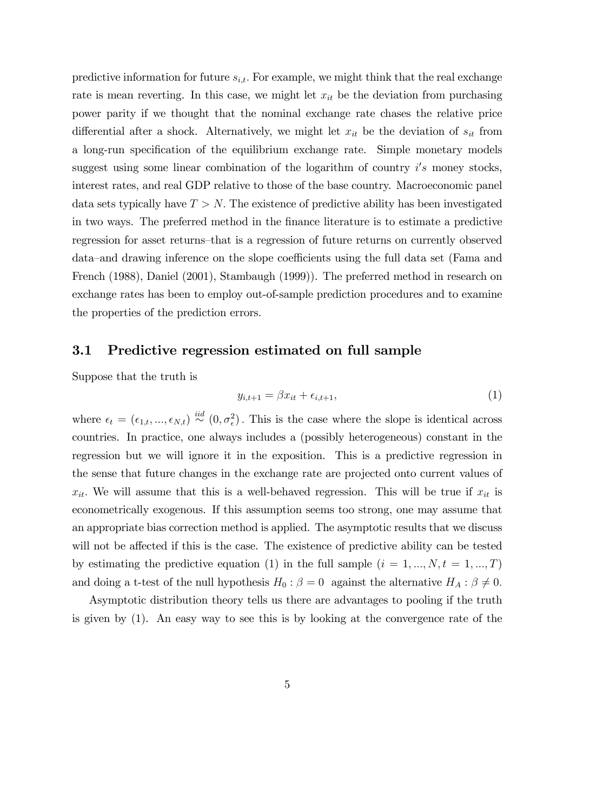predictive information for future  $s_{i,t}$ . For example, we might think that the real exchange rate is mean reverting. In this case, we might let  $x_{it}$  be the deviation from purchasing power parity if we thought that the nominal exchange rate chases the relative price differential after a shock. Alternatively, we might let  $x_{it}$  be the deviation of  $s_{it}$  from a long-run specification of the equilibrium exchange rate. Simple monetary models suggest using some linear combination of the logarithm of country  $i's$  money stocks, interest rates, and real GDP relative to those of the base country. Macroeconomic panel data sets typically have  $T > N$ . The existence of predictive ability has been investigated in two ways. The preferred method in the finance literature is to estimate a predictive regression for asset returns—that is a regression of future returns on currently observed data—and drawing inference on the slope coefficients using the full data set (Fama and French (1988), Daniel (2001), Stambaugh (1999)). The preferred method in research on exchange rates has been to employ out-of-sample prediction procedures and to examine the properties of the prediction errors.

### 3.1 Predictive regression estimated on full sample

Suppose that the truth is

$$
y_{i,t+1} = \beta x_{it} + \epsilon_{i,t+1},\tag{1}
$$

where  $\epsilon_t = (\epsilon_{1,t},...,\epsilon_{N,t}) \stackrel{iid}{\sim} (0,\sigma_\epsilon^2)$ . This is the case where the slope is identical across countries. In practice, one always includes a (possibly heterogeneous) constant in the regression but we will ignore it in the exposition. This is a predictive regression in the sense that future changes in the exchange rate are projected onto current values of  $x_{it}$ . We will assume that this is a well-behaved regression. This will be true if  $x_{it}$  is econometrically exogenous. If this assumption seems too strong, one may assume that an appropriate bias correction method is applied. The asymptotic results that we discuss will not be affected if this is the case. The existence of predictive ability can be tested by estimating the predictive equation (1) in the full sample  $(i = 1, ..., N, t = 1, ..., T)$ and doing a t-test of the null hypothesis  $H_0: \beta = 0$  against the alternative  $H_A: \beta \neq 0$ .

Asymptotic distribution theory tells us there are advantages to pooling if the truth is given by (1). An easy way to see this is by looking at the convergence rate of the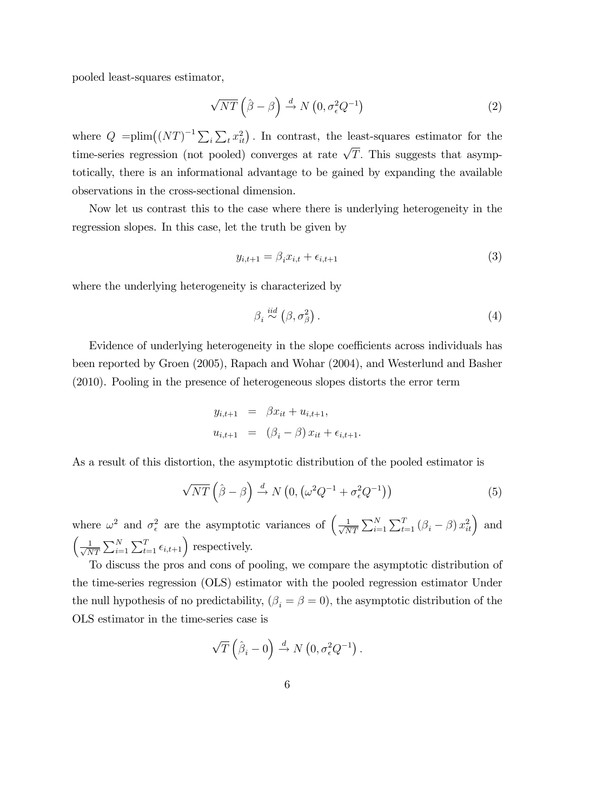pooled least-squares estimator,

$$
\sqrt{NT}\left(\hat{\beta}-\beta\right) \stackrel{d}{\rightarrow} N\left(0, \sigma_{\epsilon}^2 Q^{-1}\right) \tag{2}
$$

where  $Q = \text{plim}((NT)^{-1}\sum_i \sum_t x_{it}^2)$ . In contrast, the least-squares estimator for the time-series regression (not pooled) converges at rate  $\sqrt{T}$ . This suggests that asymptotically, there is an informational advantage to be gained by expanding the available observations in the cross-sectional dimension.

Now let us contrast this to the case where there is underlying heterogeneity in the regression slopes. In this case, let the truth be given by

$$
y_{i,t+1} = \beta_i x_{i,t} + \epsilon_{i,t+1} \tag{3}
$$

where the underlying heterogeneity is characterized by

$$
\beta_i \stackrel{iid}{\sim} (\beta, \sigma_\beta^2). \tag{4}
$$

Evidence of underlying heterogeneity in the slope coefficients across individuals has been reported by Groen (2005), Rapach and Wohar (2004), and Westerlund and Basher (2010). Pooling in the presence of heterogeneous slopes distorts the error term

$$
y_{i,t+1} = \beta x_{it} + u_{i,t+1},
$$
  

$$
u_{i,t+1} = (\beta_i - \beta) x_{it} + \epsilon_{i,t+1}.
$$

As a result of this distortion, the asymptotic distribution of the pooled estimator is

$$
\sqrt{NT}\left(\hat{\beta}-\beta\right) \stackrel{d}{\rightarrow} N\left(0, \left(\omega^2 Q^{-1} + \sigma_{\epsilon}^2 Q^{-1}\right)\right) \tag{5}
$$

where  $\omega^2$  and  $\sigma_{\epsilon}^2$  are the asymptotic variances of  $\left(\frac{1}{\sqrt{\lambda}}\right)$  $\frac{1}{NT} \sum_{i=1}^{N} \sum_{t=1}^{T} (\beta_i - \beta) x_{it}^2$  and  $\left(\frac{1}{\sqrt{\lambda}}\right)$  $\frac{1}{NT} \sum_{i=1}^{N} \sum_{t=1}^{T} \epsilon_{i,t+1}$  respectively.

To discuss the pros and cons of pooling, we compare the asymptotic distribution of the time-series regression (OLS) estimator with the pooled regression estimator Under the null hypothesis of no predictability,  $(\beta_i = \beta = 0)$ , the asymptotic distribution of the OLS estimator in the time-series case is

$$
\sqrt{T}\left(\hat{\beta}_i - 0\right) \stackrel{d}{\rightarrow} N\left(0, \sigma_{\epsilon}^2 Q^{-1}\right).
$$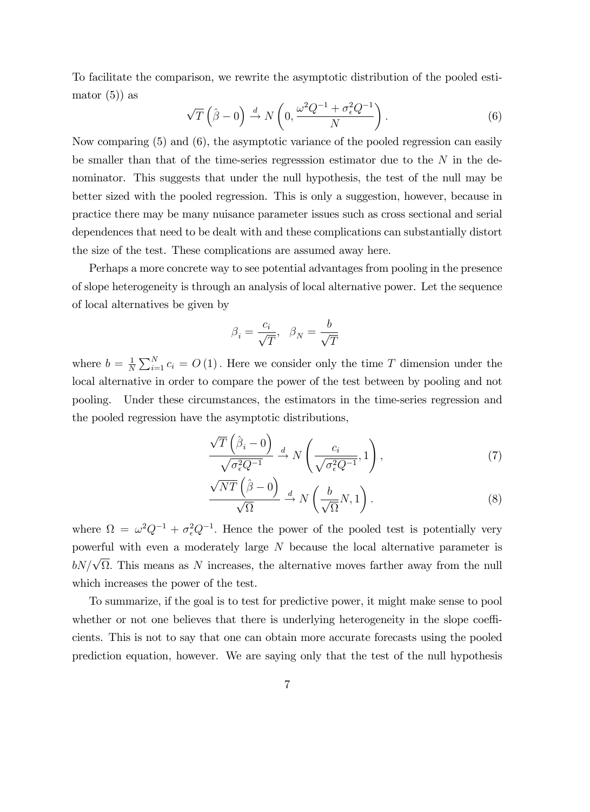To facilitate the comparison, we rewrite the asymptotic distribution of the pooled estimator  $(5)$  as

$$
\sqrt{T}\left(\hat{\beta}-0\right) \stackrel{d}{\rightarrow} N\left(0, \frac{\omega^2 Q^{-1} + \sigma_\epsilon^2 Q^{-1}}{N}\right). \tag{6}
$$

Now comparing (5) and (6), the asymptotic variance of the pooled regression can easily be smaller than that of the time-series regresssion estimator due to the  $N$  in the denominator. This suggests that under the null hypothesis, the test of the null may be better sized with the pooled regression. This is only a suggestion, however, because in practice there may be many nuisance parameter issues such as cross sectional and serial dependences that need to be dealt with and these complications can substantially distort the size of the test. These complications are assumed away here.

Perhaps a more concrete way to see potential advantages from pooling in the presence of slope heterogeneity is through an analysis of local alternative power. Let the sequence of local alternatives be given by

$$
\beta_i=\frac{c_i}{\sqrt{T}},\ \ \beta_N=\frac{b}{\sqrt{T}}
$$

where  $b = \frac{1}{N}$  $\frac{1}{N} \sum_{i=1}^{N} c_i = O(1)$ . Here we consider only the time T dimension under the local alternative in order to compare the power of the test between by pooling and not pooling. Under these circumstances, the estimators in the time-series regression and the pooled regression have the asymptotic distributions,

$$
\frac{\sqrt{T}\left(\hat{\beta}_i - 0\right)}{\sqrt{\sigma_\epsilon^2 Q^{-1}}} \xrightarrow{d} N\left(\frac{c_i}{\sqrt{\sigma_\epsilon^2 Q^{-1}}}, 1\right),\tag{7}
$$

$$
\frac{\sqrt{NT}\left(\hat{\beta}-0\right)}{\sqrt{\Omega}} \xrightarrow{d} N\left(\frac{b}{\sqrt{\Omega}}N,1\right). \tag{8}
$$

where  $\Omega = \omega^2 Q^{-1} + \sigma_{\epsilon}^2 Q^{-1}$ . Hence the power of the pooled test is potentially very powerful with even a moderately large N because the local alternative parameter is  $bN/\sqrt{\Omega}$ . This means as N increases, the alternative moves farther away from the null which increases the power of the test.

To summarize, if the goal is to test for predictive power, it might make sense to pool whether or not one believes that there is underlying heterogeneity in the slope coefficients. This is not to say that one can obtain more accurate forecasts using the pooled prediction equation, however. We are saying only that the test of the null hypothesis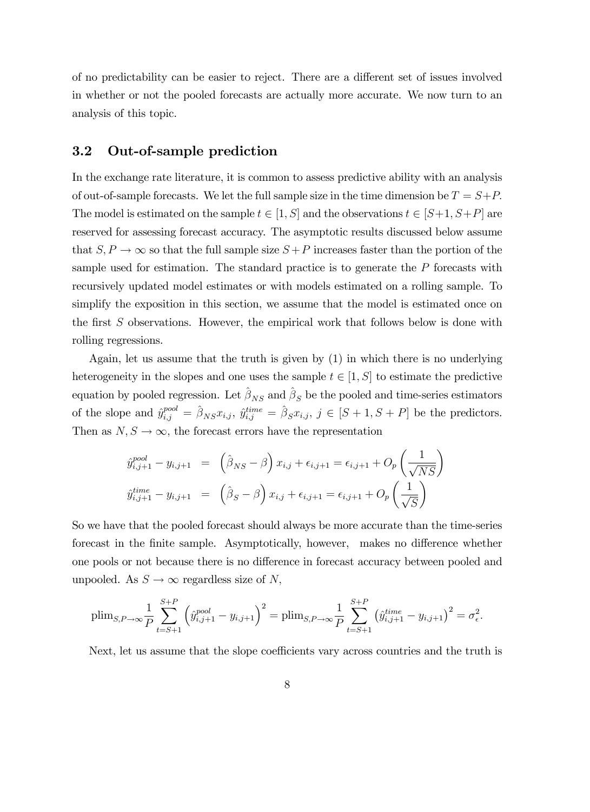of no predictability can be easier to reject. There are a different set of issues involved in whether or not the pooled forecasts are actually more accurate. We now turn to an analysis of this topic.

## 3.2 Out-of-sample prediction

In the exchange rate literature, it is common to assess predictive ability with an analysis of out-of-sample forecasts. We let the full sample size in the time dimension be  $T = S + P$ . The model is estimated on the sample  $t \in [1, S]$  and the observations  $t \in [S+1, S+P]$  are reserved for assessing forecast accuracy. The asymptotic results discussed below assume that  $S, P \to \infty$  so that the full sample size  $S + P$  increases faster than the portion of the sample used for estimation. The standard practice is to generate the P forecasts with recursively updated model estimates or with models estimated on a rolling sample. To simplify the exposition in this section, we assume that the model is estimated once on the first  $S$  observations. However, the empirical work that follows below is done with rolling regressions.

Again, let us assume that the truth is given by (1) in which there is no underlying heterogeneity in the slopes and one uses the sample  $t \in [1, S]$  to estimate the predictive equation by pooled regression. Let  $\hat{\beta}_{NS}$  and  $\hat{\beta}_{S}$  be the pooled and time-series estimators of the slope and  $\hat{y}_{i,j}^{pool} = \hat{\beta}_{NS} x_{i,j}$ ,  $\hat{y}_{i,j}^{time} = \hat{\beta}_S x_{i,j}$ ,  $j \in [S + 1, S + P]$  be the predictors. Then as  $N, S \to \infty$ , the forecast errors have the representation

$$
\hat{y}_{i,j+1}^{pool} - y_{i,j+1} = (\hat{\beta}_{NS} - \beta) x_{i,j} + \epsilon_{i,j+1} = \epsilon_{i,j+1} + O_p\left(\frac{1}{\sqrt{NS}}\right)
$$
  

$$
\hat{y}_{i,j+1}^{time} - y_{i,j+1} = (\hat{\beta}_S - \beta) x_{i,j} + \epsilon_{i,j+1} = \epsilon_{i,j+1} + O_p\left(\frac{1}{\sqrt{S}}\right)
$$

So we have that the pooled forecast should always be more accurate than the time-series forecast in the finite sample. Asymptotically, however, makes no difference whether one pools or not because there is no difference in forecast accuracy between pooled and unpooled. As  $S \to \infty$  regardless size of N,

$$
\text{plim}_{S,P\to\infty} \frac{1}{P} \sum_{t=S+1}^{S+P} \left( \hat{y}_{i,j+1}^{pool} - y_{i,j+1} \right)^2 = \text{plim}_{S,P\to\infty} \frac{1}{P} \sum_{t=S+1}^{S+P} \left( \hat{y}_{i,j+1}^{time} - y_{i,j+1} \right)^2 = \sigma_{\epsilon}^2.
$$

Next, let us assume that the slope coefficients vary across countries and the truth is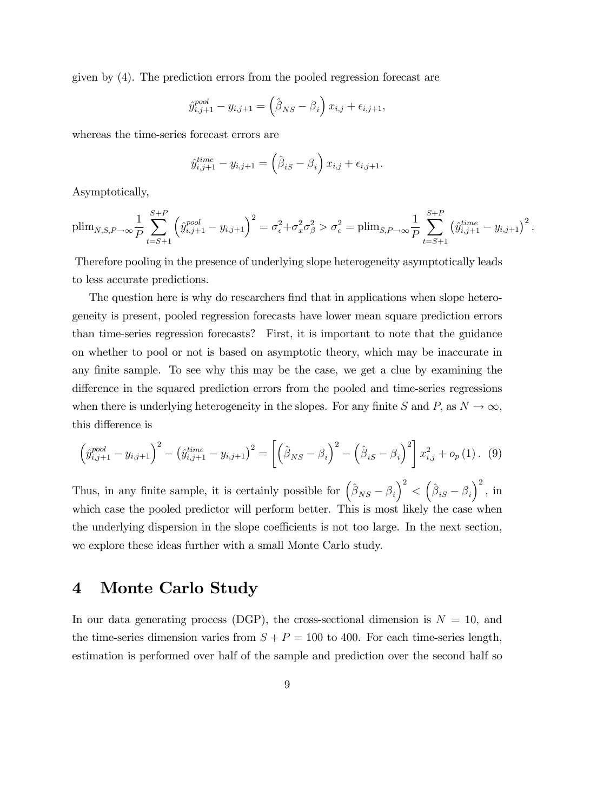given by (4). The prediction errors from the pooled regression forecast are

$$
\hat{y}_{i,j+1}^{pool} - y_{i,j+1} = (\hat{\beta}_{NS} - \beta_i) x_{i,j} + \epsilon_{i,j+1},
$$

whereas the time-series forecast errors are

$$
\hat{y}_{i,j+1}^{time} - y_{i,j+1} = (\hat{\beta}_{iS} - \beta_i) x_{i,j} + \epsilon_{i,j+1}.
$$

Asymptotically,

$$
\text{plim}_{N,S,P\to\infty} \frac{1}{P} \sum_{t=S+1}^{S+P} \left( \hat{y}_{i,j+1}^{pool} - y_{i,j+1} \right)^2 = \sigma_{\epsilon}^2 + \sigma_x^2 \sigma_{\beta}^2 > \sigma_{\epsilon}^2 = \text{plim}_{S,P\to\infty} \frac{1}{P} \sum_{t=S+1}^{S+P} \left( \hat{y}_{i,j+1}^{time} - y_{i,j+1} \right)^2.
$$

Therefore pooling in the presence of underlying slope heterogeneity asymptotically leads to less accurate predictions.

The question here is why do researchers find that in applications when slope heterogeneity is present, pooled regression forecasts have lower mean square prediction errors than time-series regression forecasts? First, it is important to note that the guidance on whether to pool or not is based on asymptotic theory, which may be inaccurate in any finite sample. To see why this may be the case, we get a clue by examining the difference in the squared prediction errors from the pooled and time-series regressions when there is underlying heterogeneity in the slopes. For any finite S and P, as  $N \to \infty$ , this difference is

$$
\left(\hat{y}_{i,j+1}^{pool} - y_{i,j+1}\right)^2 - \left(\hat{y}_{i,j+1}^{time} - y_{i,j+1}\right)^2 = \left[\left(\hat{\beta}_{NS} - \beta_i\right)^2 - \left(\hat{\beta}_{iS} - \beta_i\right)^2\right]x_{i,j}^2 + o_p(1).
$$
 (9)

Thus, in any finite sample, it is certainly possible for  $(\hat{\beta}_{NS} - \beta_i)^2 < (\hat{\beta}_{iS} - \beta_i)^2$ , in which case the pooled predictor will perform better. This is most likely the case when the underlying dispersion in the slope coefficients is not too large. In the next section, we explore these ideas further with a small Monte Carlo study.

## 4 Monte Carlo Study

In our data generating process (DGP), the cross-sectional dimension is  $N = 10$ , and the time-series dimension varies from  $S + P = 100$  to 400. For each time-series length, estimation is performed over half of the sample and prediction over the second half so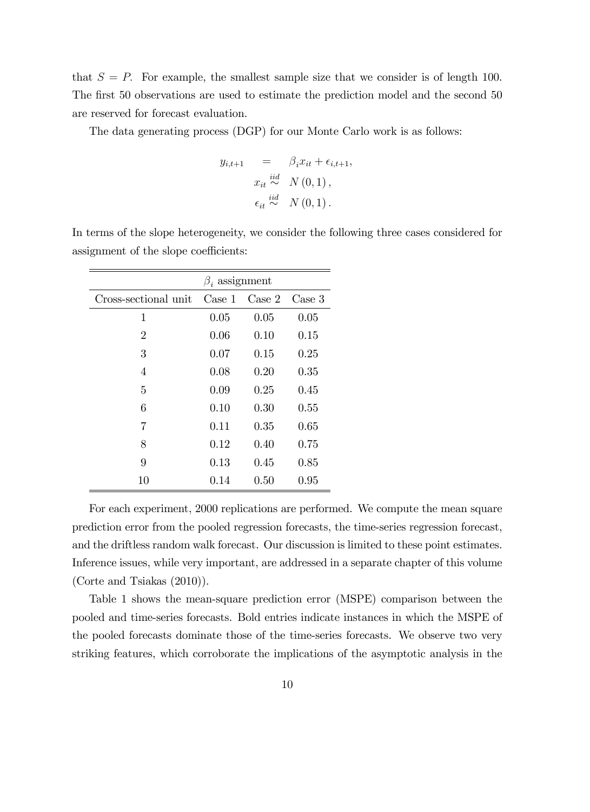that  $S = P$ . For example, the smallest sample size that we consider is of length 100. The first 50 observations are used to estimate the prediction model and the second 50 are reserved for forecast evaluation.

The data generating process (DGP) for our Monte Carlo work is as follows:

$$
y_{i,t+1} = \beta_i x_{it} + \epsilon_{i,t+1},
$$
  
\n
$$
x_{it} \stackrel{iid}{\sim} N(0,1),
$$
  
\n
$$
\epsilon_{it} \stackrel{iid}{\sim} N(0,1).
$$

In terms of the slope heterogeneity, we consider the following three cases considered for assignment of the slope coefficients:

|                      | $\beta_i$ assignment |        |        |  |  |  |  |  |
|----------------------|----------------------|--------|--------|--|--|--|--|--|
| Cross-sectional unit | $\text{Case} 1$      | Case 2 | Case 3 |  |  |  |  |  |
| 1                    | 0.05                 | 0.05   | 0.05   |  |  |  |  |  |
| $\overline{2}$       | 0.06                 | 0.10   | 0.15   |  |  |  |  |  |
| 3                    | 0.07                 | 0.15   | 0.25   |  |  |  |  |  |
| 4                    | 0.08                 | 0.20   | 0.35   |  |  |  |  |  |
| 5                    | 0.09                 | 0.25   | 0.45   |  |  |  |  |  |
| 6                    | 0.10                 | 0.30   | 0.55   |  |  |  |  |  |
| 7                    | 0.11                 | 0.35   | 0.65   |  |  |  |  |  |
| 8                    | 0.12                 | 0.40   | 0.75   |  |  |  |  |  |
| 9                    | 0.13                 | 0.45   | 0.85   |  |  |  |  |  |
| 10                   | 0.14                 | 0.50   | 0.95   |  |  |  |  |  |

For each experiment, 2000 replications are performed. We compute the mean square prediction error from the pooled regression forecasts, the time-series regression forecast, and the driftless random walk forecast. Our discussion is limited to these point estimates. Inference issues, while very important, are addressed in a separate chapter of this volume (Corte and Tsiakas (2010)).

Table 1 shows the mean-square prediction error (MSPE) comparison between the pooled and time-series forecasts. Bold entries indicate instances in which the MSPE of the pooled forecasts dominate those of the time-series forecasts. We observe two very striking features, which corroborate the implications of the asymptotic analysis in the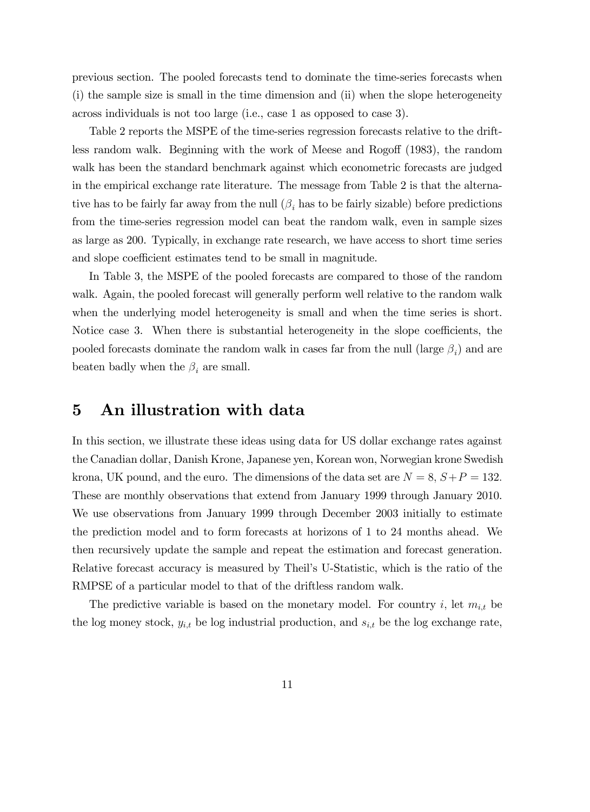previous section. The pooled forecasts tend to dominate the time-series forecasts when (i) the sample size is small in the time dimension and (ii) when the slope heterogeneity across individuals is not too large (i.e., case 1 as opposed to case 3).

Table 2 reports the MSPE of the time-series regression forecasts relative to the driftless random walk. Beginning with the work of Meese and Rogoff  $(1983)$ , the random walk has been the standard benchmark against which econometric forecasts are judged in the empirical exchange rate literature. The message from Table 2 is that the alternative has to be fairly far away from the null  $(\beta_i)$  has to be fairly sizable) before predictions from the time-series regression model can beat the random walk, even in sample sizes as large as 200. Typically, in exchange rate research, we have access to short time series and slope coefficient estimates tend to be small in magnitude.

In Table 3, the MSPE of the pooled forecasts are compared to those of the random walk. Again, the pooled forecast will generally perform well relative to the random walk when the underlying model heterogeneity is small and when the time series is short. Notice case 3. When there is substantial heterogeneity in the slope coefficients, the pooled forecasts dominate the random walk in cases far from the null (large  $\beta_i$ ) and are beaten badly when the  $\beta_i$  are small.

## 5 An illustration with data

In this section, we illustrate these ideas using data for US dollar exchange rates against the Canadian dollar, Danish Krone, Japanese yen, Korean won, Norwegian krone Swedish krona, UK pound, and the euro. The dimensions of the data set are  $N = 8$ ,  $S + P = 132$ . These are monthly observations that extend from January 1999 through January 2010. We use observations from January 1999 through December 2003 initially to estimate the prediction model and to form forecasts at horizons of 1 to 24 months ahead. We then recursively update the sample and repeat the estimation and forecast generation. Relative forecast accuracy is measured by Theilís U-Statistic, which is the ratio of the RMPSE of a particular model to that of the driftless random walk.

The predictive variable is based on the monetary model. For country i, let  $m_{i,t}$  be the log money stock,  $y_{i,t}$  be log industrial production, and  $s_{i,t}$  be the log exchange rate,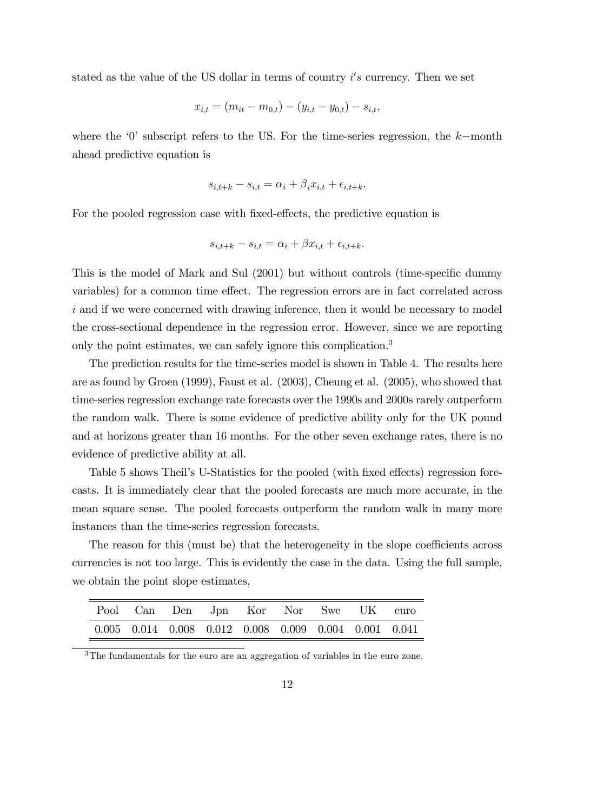stated as the value of the US dollar in terms of country  $i's$  currency. Then we set

$$
x_{i,t} = (m_{it} - m_{0,t}) - (y_{i,t} - y_{0,t}) - s_{i,t},
$$

where the  $\theta$  subscript refers to the US. For the time-series regression, the k-month ahead predictive equation is

$$
s_{i,t+k} - s_{i,t} = \alpha_i + \beta_i x_{i,t} + \epsilon_{i,t+k}.
$$

For the pooled regression case with fixed-effects, the predictive equation is

$$
s_{i,t+k} - s_{i,t} = \alpha_i + \beta x_{i,t} + \epsilon_{i,t+k}.
$$

This is the model of Mark and Sul (2001) but without controls (time-specific dummy variables) for a common time effect. The regression errors are in fact correlated across i and if we were concerned with drawing inference, then it would be necessary to model the cross-sectional dependence in the regression error. However, since we are reporting only the point estimates, we can safely ignore this complication.<sup>3</sup>

The prediction results for the time-series model is shown in Table 4. The results here are as found by Groen (1999), Faust et al. (2003), Cheung et al. (2005), who showed that time-series regression exchange rate forecasts over the 1990s and 2000s rarely outperform the random walk. There is some evidence of predictive ability only for the UK pound and at horizons greater than 16 months. For the other seven exchange rates, there is no evidence of predictive ability at all.

Table 5 shows Theil's U-Statistics for the pooled (with fixed effects) regression forecasts. It is immediately clear that the pooled forecasts are much more accurate, in the mean square sense. The pooled forecasts outperform the random walk in many more instances than the time-series regression forecasts.

The reason for this (must be) that the heterogeneity in the slope coefficients across currencies is not too large. This is evidently the case in the data. Using the full sample, we obtain the point slope estimates,

|                                                                         | Pool Can Den Jpn Kor Nor Swe UK euro |  |  |  |
|-------------------------------------------------------------------------|--------------------------------------|--|--|--|
| $0.005$ $0.014$ $0.008$ $0.012$ $0.008$ $0.009$ $0.004$ $0.001$ $0.041$ |                                      |  |  |  |

<sup>3</sup>The fundamentals for the euro are an aggregation of variables in the euro zone.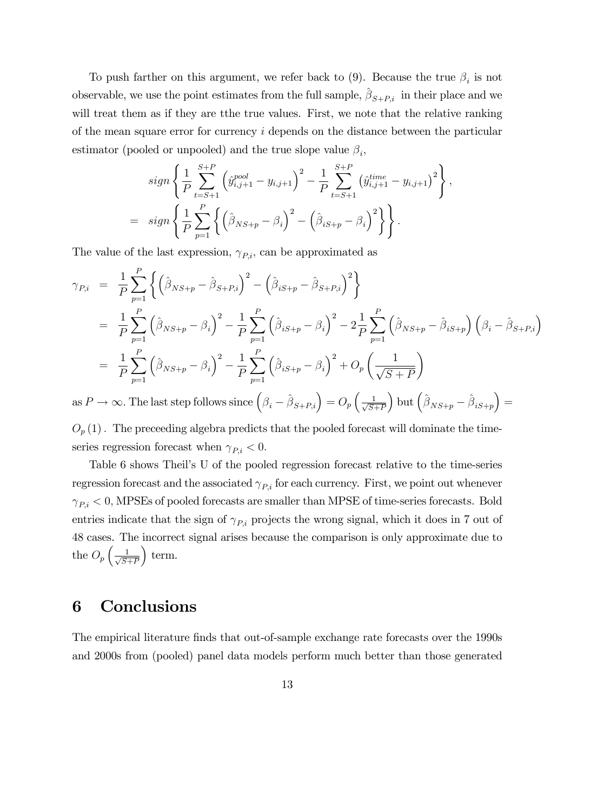To push farther on this argument, we refer back to (9). Because the true  $\beta_i$  is not observable, we use the point estimates from the full sample,  $\hat{\beta}_{S+P,i}$  in their place and we will treat them as if they are tthe true values. First, we note that the relative ranking of the mean square error for currency  $i$  depends on the distance between the particular estimator (pooled or unpooled) and the true slope value  $\beta_i$ ,

$$
sign\left\{\frac{1}{P}\sum_{t=S+1}^{S+P}\left(\hat{y}_{i,j+1}^{pool}-y_{i,j+1}\right)^{2}-\frac{1}{P}\sum_{t=S+1}^{S+P}\left(\hat{y}_{i,j+1}^{time}-y_{i,j+1}\right)^{2}\right\},\
$$
  
= 
$$
sign\left\{\frac{1}{P}\sum_{p=1}^{P}\left\{\left(\hat{\beta}_{NS+p}-\beta_{i}\right)^{2}-\left(\hat{\beta}_{iS+p}-\beta_{i}\right)^{2}\right\}\right\}.
$$

The value of the last expression,  $\gamma_{P,i}$ , can be approximated as

$$
\gamma_{P,i} = \frac{1}{P} \sum_{p=1}^{P} \left\{ \left( \hat{\beta}_{NS+p} - \hat{\beta}_{S+P,i} \right)^2 - \left( \hat{\beta}_{iS+p} - \hat{\beta}_{S+P,i} \right)^2 \right\} \n= \frac{1}{P} \sum_{p=1}^{P} \left( \hat{\beta}_{NS+p} - \beta_i \right)^2 - \frac{1}{P} \sum_{p=1}^{P} \left( \hat{\beta}_{iS+p} - \beta_i \right)^2 - 2 \frac{1}{P} \sum_{p=1}^{P} \left( \hat{\beta}_{NS+p} - \hat{\beta}_{iS+p} \right) \left( \beta_i - \hat{\beta}_{S+P,i} \right) \n= \frac{1}{P} \sum_{p=1}^{P} \left( \hat{\beta}_{NS+p} - \beta_i \right)^2 - \frac{1}{P} \sum_{p=1}^{P} \left( \hat{\beta}_{iS+p} - \beta_i \right)^2 + O_p \left( \frac{1}{\sqrt{S+P}} \right)
$$

as  $P \to \infty$ . The last step follows since  $(\beta_i - \hat{\beta}_{S+P,i}) = O_p\left(\frac{1}{\sqrt{S+P}}\right)$  $S+P$ ) but  $(\hat{\beta}_{NS+p} - \hat{\beta}_{iS+p})$  $=$ 

 $O_p(1)$ . The preceeding algebra predicts that the pooled forecast will dominate the timeseries regression forecast when  $\gamma_{P,i} < 0$ .

Table 6 shows Theil's U of the pooled regression forecast relative to the time-series regression forecast and the associated  $\gamma_{P,i}$  for each currency. First, we point out whenever  $\gamma_{P,i}$  < 0, MPSEs of pooled forecasts are smaller than MPSE of time-series forecasts. Bold entries indicate that the sign of  $\gamma_{P,i}$  projects the wrong signal, which it does in 7 out of 48 cases. The incorrect signal arises because the comparison is only approximate due to the  $O_p\left(\frac{1}{\sqrt{S_1}}\right)$  $S+P$  $\vert$  term.

## 6 Conclusions

The empirical literature finds that out-of-sample exchange rate forecasts over the 1990s and 2000s from (pooled) panel data models perform much better than those generated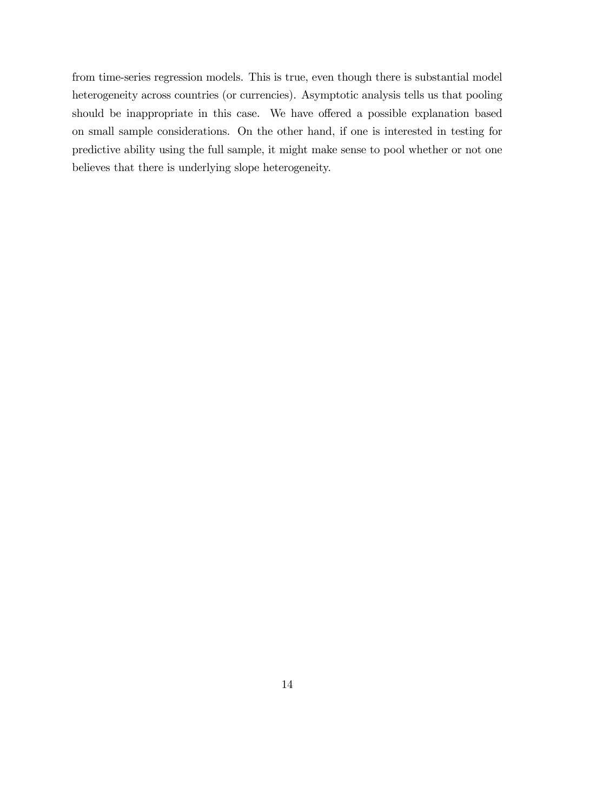from time-series regression models. This is true, even though there is substantial model heterogeneity across countries (or currencies). Asymptotic analysis tells us that pooling should be inappropriate in this case. We have offered a possible explanation based on small sample considerations. On the other hand, if one is interested in testing for predictive ability using the full sample, it might make sense to pool whether or not one believes that there is underlying slope heterogeneity.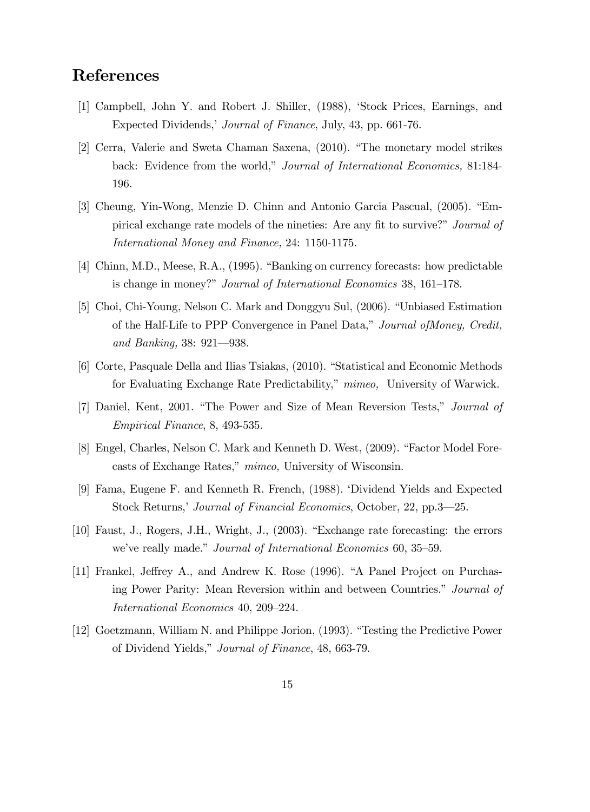# References

- [1] Campbell, John Y. and Robert J. Shiller, (1988), ëStock Prices, Earnings, and Expected Dividends,' Journal of Finance, July, 43, pp. 661-76.
- [2] Cerra, Valerie and Sweta Chaman Saxena, (2010). "The monetary model strikes back: Evidence from the world," Journal of International Economics, 81:184-196.
- [3] Cheung, Yin-Wong, Menzie D. Chinn and Antonio Garcia Pascual, (2005). "Empirical exchange rate models of the nineties: Are any fit to survive?" Journal of International Money and Finance, 24: 1150-1175.
- [4] Chinn, M.D., Meese, R.A., (1995). "Banking on currency forecasts: how predictable is change in money?" *Journal of International Economics* 38, 161–178.
- [5] Choi, Chi-Young, Nelson C. Mark and Donggyu Sul, (2006). "Unbiased Estimation of the Half-Life to PPP Convergence in Panel Data," Journal of Money, Credit, and Banking,  $38: 921 - 938$ .
- [6] Corte, Pasquale Della and Ilias Tsiakas, (2010). "Statistical and Economic Methods for Evaluating Exchange Rate Predictability," mimeo, University of Warwick.
- [7] Daniel, Kent, 2001. "The Power and Size of Mean Reversion Tests," Journal of Empirical Finance, 8, 493-535.
- [8] Engel, Charles, Nelson C. Mark and Kenneth D. West, (2009). "Factor Model Forecasts of Exchange Rates," mimeo, University of Wisconsin.
- [9] Fama, Eugene F. and Kenneth R. French, (1988). ëDividend Yields and Expected Stock Returns,<sup>†</sup> Journal of Financial Economics, October, 22, pp.3—25.
- [10] Faust, J., Rogers, J.H., Wright, J., (2003). "Exchange rate forecasting: the errors we've really made." Journal of International Economics 60, 35–59.
- [11] Frankel, Jeffrey A., and Andrew K. Rose (1996). "A Panel Project on Purchasing Power Parity: Mean Reversion within and between Countries." Journal of International Economics 40, 209–224.
- [12] Goetzmann, William N. and Philippe Jorion, (1993). "Testing the Predictive Power of Dividend Yields," Journal of Finance, 48, 663-79.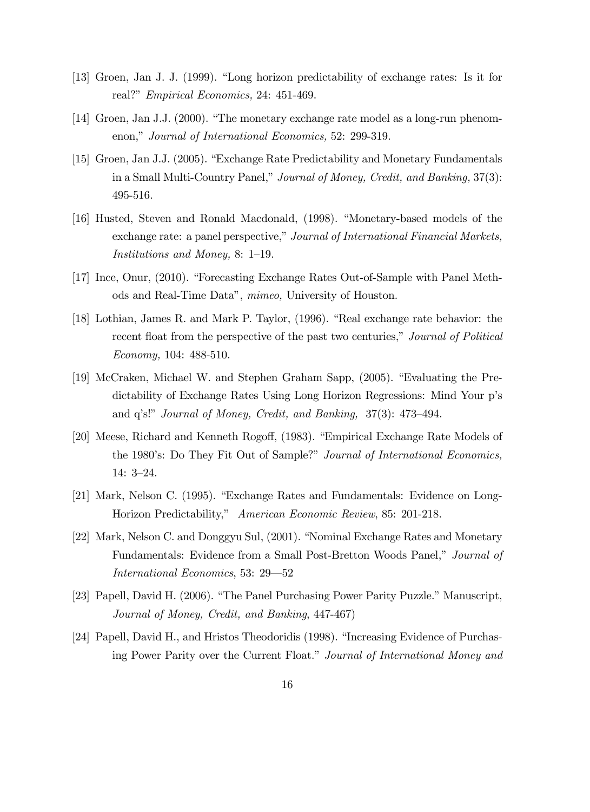- [13] Groen, Jan J. J. (1999). "Long horizon predictability of exchange rates: Is it for real?" *Empirical Economics*, 24: 451-469.
- [14] Groen, Jan J.J. (2000). "The monetary exchange rate model as a long-run phenomenon," Journal of International Economics, 52: 299-319.
- [15] Groen, Jan J.J. (2005). "Exchange Rate Predictability and Monetary Fundamentals in a Small Multi-Country Panel," Journal of Money, Credit, and Banking, 37(3): 495-516.
- [16] Husted, Steven and Ronald Macdonald, (1998). "Monetary-based models of the exchange rate: a panel perspective," Journal of International Financial Markets, *Institutions and Money, 8:* 1–19.
- [17] Ince, Onur, (2010). "Forecasting Exchange Rates Out-of-Sample with Panel Methods and Real-Time Dataî, mimeo, University of Houston.
- [18] Lothian, James R. and Mark P. Taylor, (1996). "Real exchange rate behavior: the recent float from the perspective of the past two centuries," Journal of Political Economy, 104: 488-510.
- [19] McCraken, Michael W. and Stephen Graham Sapp, (2005). "Evaluating the Predictability of Exchange Rates Using Long Horizon Regressions: Mind Your p's and q's!" Journal of Money, Credit, and Banking,  $37(3)$ :  $473-494$ .
- [20] Meese, Richard and Kenneth Rogoff, (1983). "Empirical Exchange Rate Models of the 1980's: Do They Fit Out of Sample?" Journal of International Economics, 14:  $3-24$ .
- [21] Mark, Nelson C. (1995). "Exchange Rates and Fundamentals: Evidence on Long-Horizon Predictability," American Economic Review, 85: 201-218.
- [22] Mark, Nelson C. and Donggyu Sul, (2001). "Nominal Exchange Rates and Monetary Fundamentals: Evidence from a Small Post-Bretton Woods Panel," Journal of International Economics, 53: 29–52
- [23] Papell, David H. (2006). "The Panel Purchasing Power Parity Puzzle." Manuscript, Journal of Money, Credit, and Banking, 447-467)
- [24] Papell, David H., and Hristos Theodoridis (1998). "Increasing Evidence of Purchasing Power Parity over the Current Float." Journal of International Money and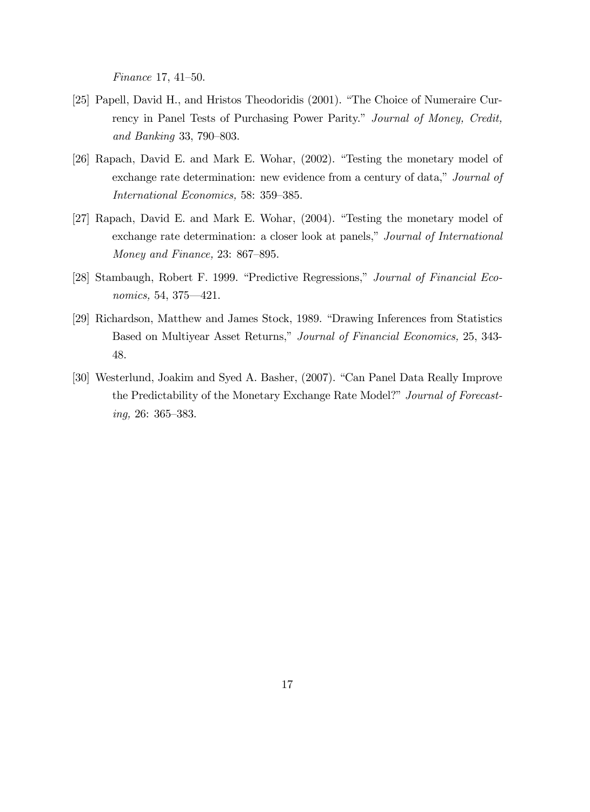Finance 17,  $41-50$ .

- [25] Papell, David H., and Hristos Theodoridis (2001). "The Choice of Numeraire Currency in Panel Tests of Purchasing Power Parity." Journal of Money, Credit, and Banking 33, 790–803.
- [26] Rapach, David E. and Mark E. Wohar,  $(2002)$ . "Testing the monetary model of exchange rate determination: new evidence from a century of data," Journal of International Economics, 58: 359-385.
- [27] Rapach, David E. and Mark E. Wohar, (2004). "Testing the monetary model of exchange rate determination: a closer look at panels," Journal of International Money and Finance,  $23: 867-895$ .
- [28] Stambaugh, Robert F. 1999. "Predictive Regressions," Journal of Financial Economics, 54, 375—421.
- [29] Richardson, Matthew and James Stock, 1989. "Drawing Inferences from Statistics Based on Multiyear Asset Returns," Journal of Financial Economics, 25, 343-48.
- [30] Westerlund, Joakim and Syed A. Basher, (2007). "Can Panel Data Really Improve the Predictability of the Monetary Exchange Rate Model?" Journal of Forecast $inq$ , 26: 365–383.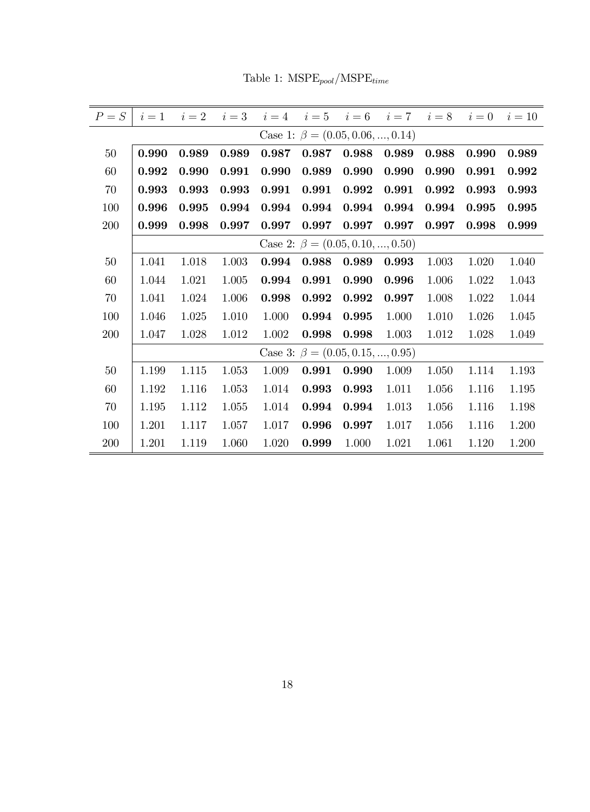$P = S \begin{array}{cccccc} i = 1 & i = 2 & i = 3 & i = 4 & i = 5 & i = 6 & i = 7 & i = 8 & i = 0 & i = 10 \end{array}$ Case 1:  $\beta = (0.05, 0.06, ..., 0.14)$  $50\quad\, 0.990\quad 0.989\quad 0.989\quad 0.987\quad 0.987\quad 0.988\quad 0.989\quad 0.988\quad 0.990\quad 0.989$  $60\quad\,|\;0.992\;$   $\,0.990\;$   $\,0.991\;$   $\,0.990\;$   $\,0.989\;$   $\,0.990\;$   $\,0.990\;$   $\,0.991\;$   $\,0.992$  $70\quad\,|\;0.993\;$   $\;0.993\;$   $\;0.993\;$   $\;0.991\;$   $\;0.992\;$   $\;0.992\;$   $\;0.993\;$   $\;0.993$ 100 0.996 0.995 0.994 0.994 0.994 0.994 0.994 0.994 0.995 0.995  $200\quad \vert \; 0.999\; \; \; 0.998\; \; \; 0.997\; \; \; 0.997\; \; \; 0.997\; \; \; 0.997\; \; \; 0.997\; \; \; 0.998\; \; \; 0.999$ Case 2:  $\beta = (0.05, 0.10, ..., 0.50)$  $50$  | 1.041 1.018 1.003 0.994 0.988 0.989 0.993 1.003 1.020 1.040  $60$  | 1.044 1.021 1.005 0.994 0.991 0.990 0.996 1.006 1.022 1.043  $70$  | 1.041 1.024 1.006 0.998 0.992 0.992 0.997 1.008 1.022 1.044 100 1.046 1.025 1.010 1.000 0.994 0.995 1.000 1.010 1.026 1.045 200 1.047 1.028 1.012 1.002 0.998 0.998 1.003 1.012 1.028 1.049 Case 3:  $\beta = (0.05, 0.15, ..., 0.95)$  $50$  | 1.199 1.115 1.053 1.009 0.991 0.990 1.009 1.050 1.114 1.193  $60$  | 1.192 1.116 1.053 1.014 **0.993 0.993** 1.011 1.056 1.116 1.195  $70 \parallel 1.195 \parallel 1.112 \parallel 1.055 \parallel 1.014 \parallel 0.994 \parallel 0.994 \parallel 1.013 \parallel 1.056 \parallel 1.116 \parallel 1.198$ 100 1.201 1.117 1.057 1.017 0.996 0.997 1.017 1.056 1.116 1.200 200 1.201 1.119 1.060 1.020 0.999 1.000 1.021 1.061 1.120 1.200

Table 1:  $M\text{SPE}_{pool}/\text{MSPE}_{time}$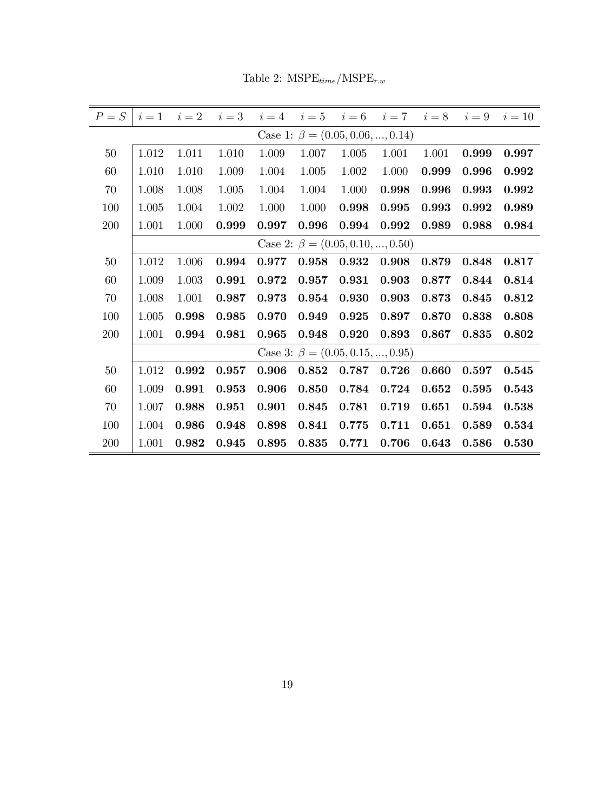| $P = S$ | $i=1$                                  | $i=2$ | $i=3$ | $i=4$ | $i=5$                                  | $i=6$ | $i=7$ | $i=8$ | $i=9$ | $i=10$ |  |  |  |
|---------|----------------------------------------|-------|-------|-------|----------------------------------------|-------|-------|-------|-------|--------|--|--|--|
|         | Case 1: $\beta = (0.05, 0.06, , 0.14)$ |       |       |       |                                        |       |       |       |       |        |  |  |  |
| 50      | 1.012                                  | 1.011 | 1.010 | 1.009 | 1.007                                  | 1.005 | 1.001 | 1.001 | 0.999 | 0.997  |  |  |  |
| 60      | 1.010                                  | 1.010 | 1.009 | 1.004 | 1.005                                  | 1.002 | 1.000 | 0.999 | 0.996 | 0.992  |  |  |  |
| 70      | 1.008                                  | 1.008 | 1.005 | 1.004 | 1.004                                  | 1.000 | 0.998 | 0.996 | 0.993 | 0.992  |  |  |  |
| 100     | 1.005                                  | 1.004 | 1.002 | 1.000 | 1.000                                  | 0.998 | 0.995 | 0.993 | 0.992 | 0.989  |  |  |  |
| 200     | 1.001                                  | 1.000 | 0.999 | 0.997 | 0.996                                  | 0.994 | 0.992 | 0.989 | 0.988 | 0.984  |  |  |  |
|         |                                        |       |       |       | Case 2: $\beta = (0.05, 0.10, , 0.50)$ |       |       |       |       |        |  |  |  |
| 50      | 1.012                                  | 1.006 | 0.994 | 0.977 | 0.958                                  | 0.932 | 0.908 | 0.879 | 0.848 | 0.817  |  |  |  |
| 60      | 1.009                                  | 1.003 | 0.991 | 0.972 | 0.957                                  | 0.931 | 0.903 | 0.877 | 0.844 | 0.814  |  |  |  |
| 70      | 1.008                                  | 1.001 | 0.987 | 0.973 | $\bf 0.954$                            | 0.930 | 0.903 | 0.873 | 0.845 | 0.812  |  |  |  |
| 100     | 1.005                                  | 0.998 | 0.985 | 0.970 | 0.949                                  | 0.925 | 0.897 | 0.870 | 0.838 | 0.808  |  |  |  |
| 200     | 1.001                                  | 0.994 | 0.981 | 0.965 | 0.948                                  | 0.920 | 0.893 | 0.867 | 0.835 | 0.802  |  |  |  |
|         | Case 3: $\beta = (0.05, 0.15, , 0.95)$ |       |       |       |                                        |       |       |       |       |        |  |  |  |
| 50      | 1.012                                  | 0.992 | 0.957 | 0.906 | 0.852                                  | 0.787 | 0.726 | 0.660 | 0.597 | 0.545  |  |  |  |
| 60      | 1.009                                  | 0.991 | 0.953 | 0.906 | 0.850                                  | 0.784 | 0.724 | 0.652 | 0.595 | 0.543  |  |  |  |
| 70      | 1.007                                  | 0.988 | 0.951 | 0.901 | 0.845                                  | 0.781 | 0.719 | 0.651 | 0.594 | 0.538  |  |  |  |
| 100     | 1.004                                  | 0.986 | 0.948 | 0.898 | 0.841                                  | 0.775 | 0.711 | 0.651 | 0.589 | 0.534  |  |  |  |
| 200     | 1.001                                  | 0.982 | 0.945 | 0.895 | 0.835                                  | 0.771 | 0.706 | 0.643 | 0.586 | 0.530  |  |  |  |

Table 2:  $\text{MSPE}_{time}/\text{MSPE}_{r.w}$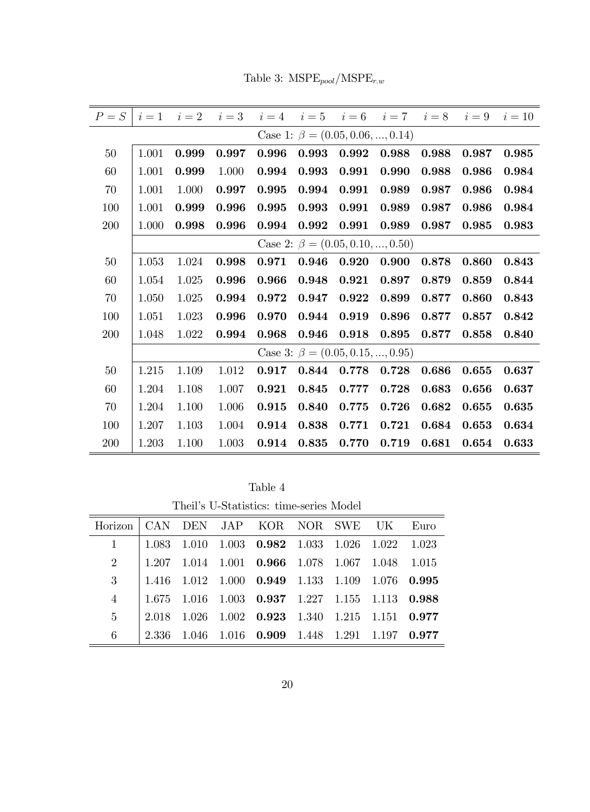|  | Table 3: $MSPE_{pool}/MSPE_{r.w}$ |  |
|--|-----------------------------------|--|
|--|-----------------------------------|--|

| $P = S$ | $i=1$                                  | $i=2$ | $i=3$ | $i=4$ | $i=5$ |                                        | $i=6$ $i=7$ | $i=8$ | $i=9$ | $i=10$ |  |  |
|---------|----------------------------------------|-------|-------|-------|-------|----------------------------------------|-------------|-------|-------|--------|--|--|
|         | Case 1: $\beta = (0.05, 0.06, , 0.14)$ |       |       |       |       |                                        |             |       |       |        |  |  |
| 50      | 1.001                                  | 0.999 | 0.997 | 0.996 | 0.993 | 0.992                                  | 0.988       | 0.988 | 0.987 | 0.985  |  |  |
| 60      | 1.001                                  | 0.999 | 1.000 | 0.994 | 0.993 | 0.991                                  | 0.990       | 0.988 | 0.986 | 0.984  |  |  |
| 70      | 1.001                                  | 1.000 | 0.997 | 0.995 | 0.994 | 0.991                                  | 0.989       | 0.987 | 0.986 | 0.984  |  |  |
| 100     | 1.001                                  | 0.999 | 0.996 | 0.995 | 0.993 | 0.991                                  | 0.989       | 0.987 | 0.986 | 0.984  |  |  |
| 200     | 1.000                                  | 0.998 | 0.996 | 0.994 | 0.992 | 0.991                                  | 0.989       | 0.987 | 0.985 | 0.983  |  |  |
|         |                                        |       |       |       |       | Case 2: $\beta = (0.05, 0.10, , 0.50)$ |             |       |       |        |  |  |
| 50      | 1.053                                  | 1.024 | 0.998 | 0.971 | 0.946 | 0.920                                  | 0.900       | 0.878 | 0.860 | 0.843  |  |  |
| 60      | 1.054                                  | 1.025 | 0.996 | 0.966 | 0.948 | 0.921                                  | 0.897       | 0.879 | 0.859 | 0.844  |  |  |
| 70      | 1.050                                  | 1.025 | 0.994 | 0.972 | 0.947 | 0.922                                  | 0.899       | 0.877 | 0.860 | 0.843  |  |  |
| 100     | 1.051                                  | 1.023 | 0.996 | 0.970 | 0.944 | 0.919                                  | 0.896       | 0.877 | 0.857 | 0.842  |  |  |
| 200     | 1.048                                  | 1.022 | 0.994 | 0.968 | 0.946 | 0.918                                  | 0.895       | 0.877 | 0.858 | 0.840  |  |  |
|         |                                        |       |       |       |       | Case 3: $\beta = (0.05, 0.15, , 0.95)$ |             |       |       |        |  |  |
| $50\,$  | 1.215                                  | 1.109 | 1.012 | 0.917 | 0.844 | 0.778                                  | 0.728       | 0.686 | 0.655 | 0.637  |  |  |
| 60      | 1.204                                  | 1.108 | 1.007 | 0.921 | 0.845 | 0.777                                  | 0.728       | 0.683 | 0.656 | 0.637  |  |  |
| 70      | 1.204                                  | 1.100 | 1.006 | 0.915 | 0.840 | 0.775                                  | 0.726       | 0.682 | 0.655 | 0.635  |  |  |
| 100     | 1.207                                  | 1.103 | 1.004 | 0.914 | 0.838 | 0.771                                  | 0.721       | 0.684 | 0.653 | 0.634  |  |  |
| 200     | 1.203                                  | 1.100 | 1.003 | 0.914 | 0.835 | 0.770                                  | 0.719       | 0.681 | 0.654 | 0.633  |  |  |

Table 4 Theil's U-Statistics: time-series Model

| Horizon   CAN DEN JAP KOR NOR SWE UK Euro |  |  |  |                                                                       |  |  |  |  |  |  |  |
|-------------------------------------------|--|--|--|-----------------------------------------------------------------------|--|--|--|--|--|--|--|
|                                           |  |  |  | $\parallel$ 1.083 1.010 1.003 <b>0.982</b> 1.033 1.026 1.022 1.023    |  |  |  |  |  |  |  |
|                                           |  |  |  | 2   1.207 1.014 1.001 0.966 1.078 1.067 1.048 1.015                   |  |  |  |  |  |  |  |
|                                           |  |  |  | 3   1.416 1.012 1.000 0.949 1.133 1.109 1.076 0.995                   |  |  |  |  |  |  |  |
| $\overline{4}$                            |  |  |  | $\vert$ 1.675 1.016 1.003 0.937 1.227 1.155 1.113 0.988               |  |  |  |  |  |  |  |
| 5 <sup>5</sup>                            |  |  |  | $\parallel$ 2.018 1.026 1.002 0.923 1.340 1.215 1.151 0.977           |  |  |  |  |  |  |  |
| 6                                         |  |  |  | $\vert$ 2.336 1.046 1.016 <b>0.909</b> 1.448 1.291 1.197 <b>0.977</b> |  |  |  |  |  |  |  |